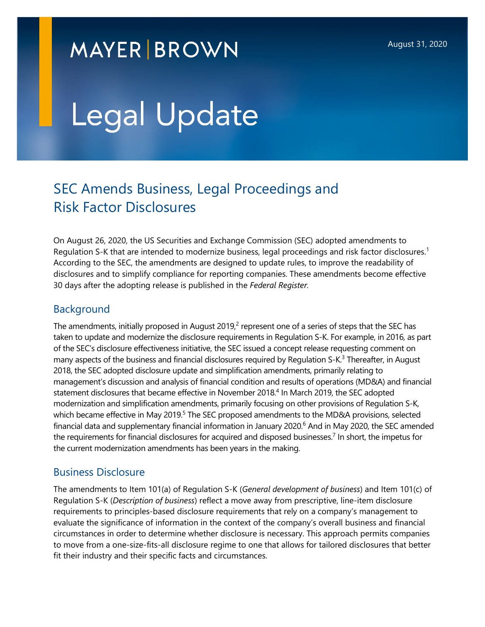## **MAYER BROWN**

# Legal Update

### SEC Amends Business, Legal Proceedings and Risk Factor Disclosures

On August 26, 2020, the US Securities and Exchange Commission (SEC) adopted amendments to Regulation S-K that are intended to modernize business, legal proceedings and risk factor disclosures.<sup>[1](#page-5-0)</sup> According to the SEC, the amendments are designed to update rules, to improve the readability of disclosures and to simplify compliance for reporting companies. These amendments become effective 30 days after the adopting release is published in the *Federal Register.* 

#### Background

The amendments, initially proposed in August [2](#page-5-1)019, $^2$  represent one of a series of steps that the SEC has taken to update and modernize the disclosure requirements in Regulation S-K. For example, in 2016, as part of the SEC's disclosure effectiveness initiative, the SEC issued a concept release requesting comment on many aspects of the business and financial disclosures required by Regulation S-K.<sup>[3](#page-5-2)</sup> Thereafter, in August 2018, the SEC adopted disclosure update and simplification amendments, primarily relating to management's discussion and analysis of financial condition and results of operations (MD&A) and financial statement disclosures that became effective in November 2018.<sup>[4](#page-5-3)</sup> In March 2019, the SEC adopted modernization and simplification amendments, primarily focusing on other provisions of Regulation S-K, which became effective in May 2019.<sup>[5](#page-5-4)</sup> The SEC proposed amendments to the MD&A provisions, selected financial data and supplementary financial information in January 2020.<sup>[6](#page-5-5)</sup> And in May 2020, the SEC amended the requirements for financial disclosures for acquired and disposed businesses.<sup>[7](#page-5-6)</sup> In short, the impetus for the current modernization amendments has been years in the making.

#### Business Disclosure

The amendments to Item 101(a) of Regulation S-K (*General development of business*) and Item 101(c) of Regulation S-K (*Description of business*) reflect a move away from prescriptive, line-item disclosure requirements to principles-based disclosure requirements that rely on a company's management to evaluate the significance of information in the context of the company's overall business and financial circumstances in order to determine whether disclosure is necessary. This approach permits companies to move from a one-size-fits-all disclosure regime to one that allows for tailored disclosures that better fit their industry and their specific facts and circumstances.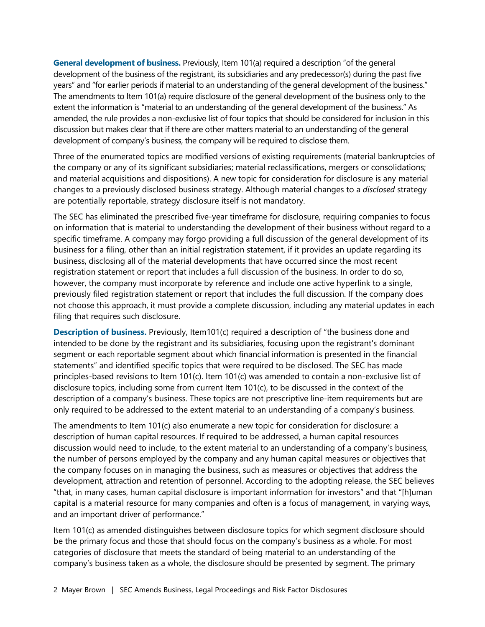**General development of business.** Previously, Item 101(a) required a description "of the general development of the business of the registrant, its subsidiaries and any predecessor(s) during the past five years" and "for earlier periods if material to an understanding of the general development of the business." The amendments to Item 101(a) require disclosure of the general development of the business only to the extent the information is "material to an understanding of the general development of the business." As amended, the rule provides a non-exclusive list of four topics that should be considered for inclusion in this discussion but makes clear that if there are other matters material to an understanding of the general development of company's business, the company will be required to disclose them.

Three of the enumerated topics are modified versions of existing requirements (material bankruptcies of the company or any of its significant subsidiaries; material reclassifications, mergers or consolidations; and material acquisitions and dispositions). A new topic for consideration for disclosure is any material changes to a previously disclosed business strategy. Although material changes to a *disclosed* strategy are potentially reportable, strategy disclosure itself is not mandatory.

The SEC has eliminated the prescribed five-year timeframe for disclosure, requiring companies to focus on information that is material to understanding the development of their business without regard to a specific timeframe. A company may forgo providing a full discussion of the general development of its business for a filing, other than an initial registration statement, if it provides an update regarding its business, disclosing all of the material developments that have occurred since the most recent registration statement or report that includes a full discussion of the business. In order to do so, however, the company must incorporate by reference and include one active hyperlink to a single, previously filed registration statement or report that includes the full discussion. If the company does not choose this approach, it must provide a complete discussion, including any material updates in each filing that requires such disclosure.

**Description of business.** Previously, Item101(c) required a description of "the business done and intended to be done by the registrant and its subsidiaries, focusing upon the registrant's dominant segment or each reportable segment about which financial information is presented in the financial statements" and identified specific topics that were required to be disclosed. The SEC has made principles-based revisions to Item 101(c). Item 101(c) was amended to contain a non-exclusive list of disclosure topics, including some from current Item 101(c), to be discussed in the context of the description of a company's business. These topics are not prescriptive line-item requirements but are only required to be addressed to the extent material to an understanding of a company's business.

The amendments to Item 101(c) also enumerate a new topic for consideration for disclosure: a description of human capital resources. If required to be addressed, a human capital resources discussion would need to include, to the extent material to an understanding of a company's business, the number of persons employed by the company and any human capital measures or objectives that the company focuses on in managing the business, such as measures or objectives that address the development, attraction and retention of personnel. According to the adopting release, the SEC believes "that, in many cases, human capital disclosure is important information for investors" and that "[h]uman capital is a material resource for many companies and often is a focus of management, in varying ways, and an important driver of performance."

Item 101(c) as amended distinguishes between disclosure topics for which segment disclosure should be the primary focus and those that should focus on the company's business as a whole. For most categories of disclosure that meets the standard of being material to an understanding of the company's business taken as a whole, the disclosure should be presented by segment. The primary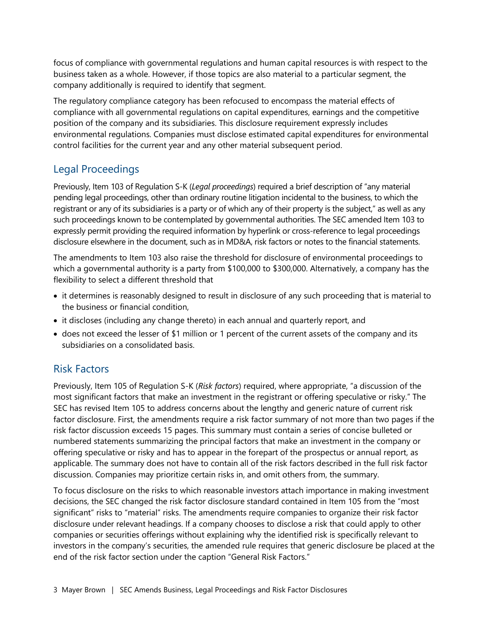focus of compliance with governmental regulations and human capital resources is with respect to the business taken as a whole. However, if those topics are also material to a particular segment, the company additionally is required to identify that segment.

The regulatory compliance category has been refocused to encompass the material effects of compliance with all governmental regulations on capital expenditures, earnings and the competitive position of the company and its subsidiaries. This disclosure requirement expressly includes environmental regulations. Companies must disclose estimated capital expenditures for environmental control facilities for the current year and any other material subsequent period.

#### Legal Proceedings

Previously, Item 103 of Regulation S-K (*Legal proceedings*) required a brief description of "any material pending legal proceedings, other than ordinary routine litigation incidental to the business, to which the registrant or any of its subsidiaries is a party or of which any of their property is the subject," as well as any such proceedings known to be contemplated by governmental authorities. The SEC amended Item 103 to expressly permit providing the required information by hyperlink or cross-reference to legal proceedings disclosure elsewhere in the document, such as in MD&A, risk factors or notes to the financial statements.

The amendments to Item 103 also raise the threshold for disclosure of environmental proceedings to which a governmental authority is a party from \$100,000 to \$300,000. Alternatively, a company has the flexibility to select a different threshold that

- it determines is reasonably designed to result in disclosure of any such proceeding that is material to the business or financial condition,
- it discloses (including any change thereto) in each annual and quarterly report, and
- does not exceed the lesser of \$1 million or 1 percent of the current assets of the company and its subsidiaries on a consolidated basis.

#### Risk Factors

Previously, Item 105 of Regulation S-K (*Risk factors*) required, where appropriate, "a discussion of the most significant factors that make an investment in the registrant or offering speculative or risky." The SEC has revised Item 105 to address concerns about the lengthy and generic nature of current risk factor disclosure. First, the amendments require a risk factor summary of not more than two pages if the risk factor discussion exceeds 15 pages. This summary must contain a series of concise bulleted or numbered statements summarizing the principal factors that make an investment in the company or offering speculative or risky and has to appear in the forepart of the prospectus or annual report, as applicable. The summary does not have to contain all of the risk factors described in the full risk factor discussion. Companies may prioritize certain risks in, and omit others from, the summary.

To focus disclosure on the risks to which reasonable investors attach importance in making investment decisions, the SEC changed the risk factor disclosure standard contained in Item 105 from the "most significant" risks to "material" risks. The amendments require companies to organize their risk factor disclosure under relevant headings. If a company chooses to disclose a risk that could apply to other companies or securities offerings without explaining why the identified risk is specifically relevant to investors in the company's securities, the amended rule requires that generic disclosure be placed at the end of the risk factor section under the caption "General Risk Factors."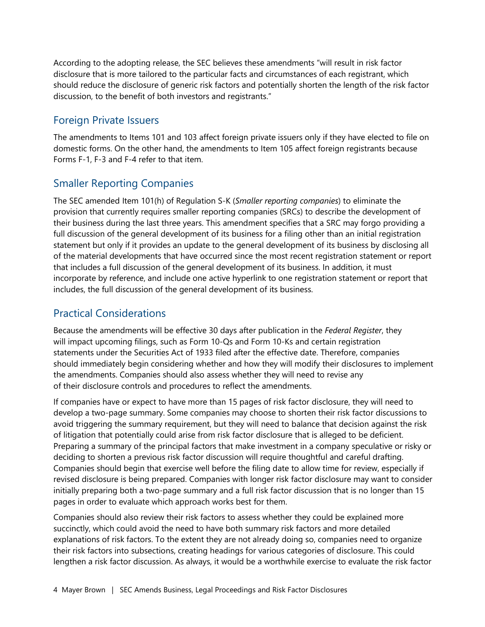According to the adopting release, the SEC believes these amendments "will result in risk factor disclosure that is more tailored to the particular facts and circumstances of each registrant, which should reduce the disclosure of generic risk factors and potentially shorten the length of the risk factor discussion, to the benefit of both investors and registrants."

#### Foreign Private Issuers

The amendments to Items 101 and 103 affect foreign private issuers only if they have elected to file on domestic forms. On the other hand, the amendments to Item 105 affect foreign registrants because Forms F-1, F-3 and F-4 refer to that item.

#### Smaller Reporting Companies

The SEC amended Item 101(h) of Regulation S-K (*Smaller reporting companies*) to eliminate the provision that currently requires smaller reporting companies (SRCs) to describe the development of their business during the last three years. This amendment specifies that a SRC may forgo providing a full discussion of the general development of its business for a filing other than an initial registration statement but only if it provides an update to the general development of its business by disclosing all of the material developments that have occurred since the most recent registration statement or report that includes a full discussion of the general development of its business. In addition, it must incorporate by reference, and include one active hyperlink to one registration statement or report that includes, the full discussion of the general development of its business.

#### Practical Considerations

Because the amendments will be effective 30 days after publication in the *Federal Register*, they will impact upcoming filings, such as Form 10-Qs and Form 10-Ks and certain registration statements under the Securities Act of 1933 filed after the effective date. Therefore, companies should immediately begin considering whether and how they will modify their disclosures to implement the amendments. Companies should also assess whether they will need to revise any of their disclosure controls and procedures to reflect the amendments.

If companies have or expect to have more than 15 pages of risk factor disclosure, they will need to develop a two-page summary. Some companies may choose to shorten their risk factor discussions to avoid triggering the summary requirement, but they will need to balance that decision against the risk of litigation that potentially could arise from risk factor disclosure that is alleged to be deficient. Preparing a summary of the principal factors that make investment in a company speculative or risky or deciding to shorten a previous risk factor discussion will require thoughtful and careful drafting. Companies should begin that exercise well before the filing date to allow time for review, especially if revised disclosure is being prepared. Companies with longer risk factor disclosure may want to consider initially preparing both a two-page summary and a full risk factor discussion that is no longer than 15 pages in order to evaluate which approach works best for them.

Companies should also review their risk factors to assess whether they could be explained more succinctly, which could avoid the need to have both summary risk factors and more detailed explanations of risk factors. To the extent they are not already doing so, companies need to organize their risk factors into subsections, creating headings for various categories of disclosure. This could lengthen a risk factor discussion. As always, it would be a worthwhile exercise to evaluate the risk factor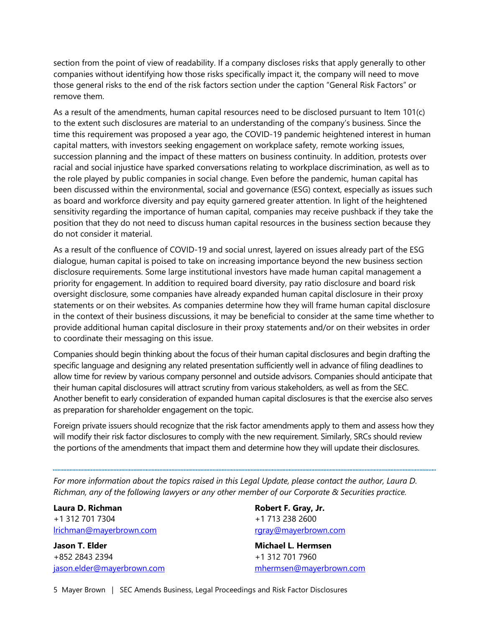section from the point of view of readability. If a company discloses risks that apply generally to other companies without identifying how those risks specifically impact it, the company will need to move those general risks to the end of the risk factors section under the caption "General Risk Factors" or remove them.

As a result of the amendments, human capital resources need to be disclosed pursuant to Item 101(c) to the extent such disclosures are material to an understanding of the company's business. Since the time this requirement was proposed a year ago, the COVID-19 pandemic heightened interest in human capital matters, with investors seeking engagement on workplace safety, remote working issues, succession planning and the impact of these matters on business continuity. In addition, protests over racial and social injustice have sparked conversations relating to workplace discrimination, as well as to the role played by public companies in social change. Even before the pandemic, human capital has been discussed within the environmental, social and governance (ESG) context, especially as issues such as board and workforce diversity and pay equity garnered greater attention. In light of the heightened sensitivity regarding the importance of human capital, companies may receive pushback if they take the position that they do not need to discuss human capital resources in the business section because they do not consider it material.

As a result of the confluence of COVID-19 and social unrest, layered on issues already part of the ESG dialogue, human capital is poised to take on increasing importance beyond the new business section disclosure requirements. Some large institutional investors have made human capital management a priority for engagement. In addition to required board diversity, pay ratio disclosure and board risk oversight disclosure, some companies have already expanded human capital disclosure in their proxy statements or on their websites. As companies determine how they will frame human capital disclosure in the context of their business discussions, it may be beneficial to consider at the same time whether to provide additional human capital disclosure in their proxy statements and/or on their websites in order to coordinate their messaging on this issue.

Companies should begin thinking about the focus of their human capital disclosures and begin drafting the specific language and designing any related presentation sufficiently well in advance of filing deadlines to allow time for review by various company personnel and outside advisors. Companies should anticipate that their human capital disclosures will attract scrutiny from various stakeholders, as well as from the SEC. Another benefit to early consideration of expanded human capital disclosures is that the exercise also serves as preparation for shareholder engagement on the topic.

Foreign private issuers should recognize that the risk factor amendments apply to them and assess how they will modify their risk factor disclosures to comply with the new requirement. Similarly, SRCs should review the portions of the amendments that impact them and determine how they will update their disclosures.

*For more information about the topics raised in this Legal Update, please contact the author, Laura D. Richman, any of the following lawyers or any other member of our Corporate & Securities practice.* 

**Laura D. Richman**  +1 312 701 7304 [lrichman@mayerbrown.com](mailto:lrichman@mayerbrown.com)

**Jason T. Elder**  +852 2843 2394 [jason.elder@mayerbrown.com](mailto:jason.elder@mayerbrown.com) **Robert F. Gray, Jr.**  +1 713 238 2600 [rgray@mayerbrown.com](mailto:rgray@mayerbrown.com)

**Michael L. Hermsen**  +1 312 701 7960 [mhermsen@mayerbrown.com](mailto:mhermsen@mayerbrown.com)